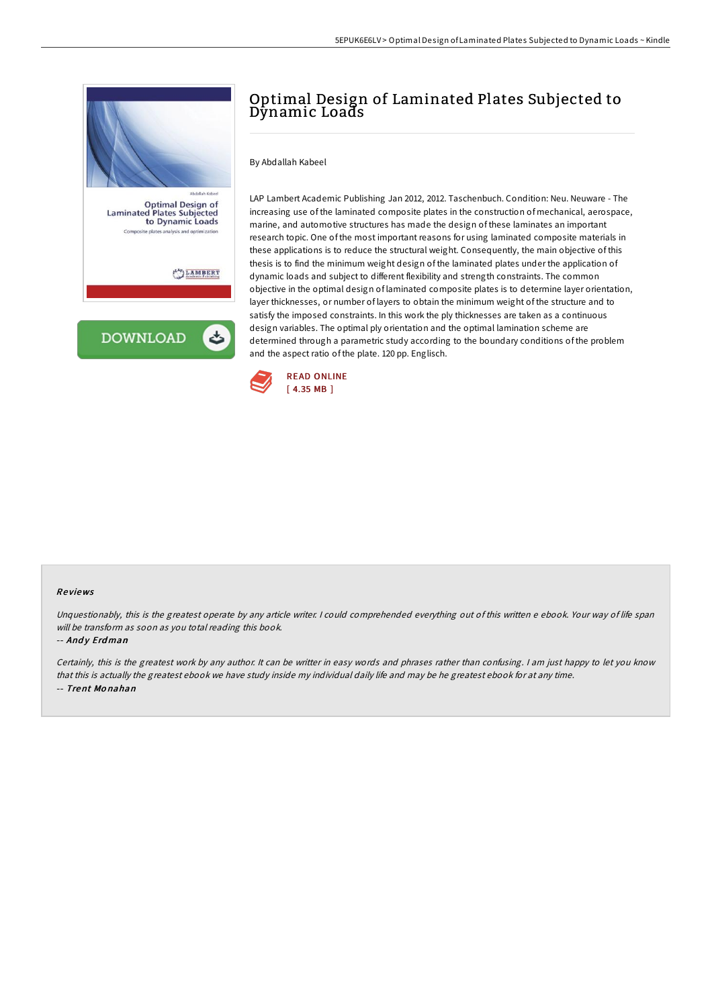

# Optimal Design of Laminated Plates Subjected to Dynamic Loads

By Abdallah Kabeel

LAP Lambert Academic Publishing Jan 2012, 2012. Taschenbuch. Condition: Neu. Neuware - The increasing use of the laminated composite plates in the construction of mechanical, aerospace, marine, and automotive structures has made the design of these laminates an important research topic. One of the most important reasons for using laminated composite materials in these applications is to reduce the structural weight. Consequently, the main objective of this thesis is to find the minimum weight design of the laminated plates under the application of dynamic loads and subject to different flexibility and strength constraints. The common objective in the optimal design of laminated composite plates is to determine layer orientation, layer thicknesses, or number of layers to obtain the minimum weight of the structure and to satisfy the imposed constraints. In this work the ply thicknesses are taken as a continuous design variables. The optimal ply orientation and the optimal lamination scheme are determined through a parametric study according to the boundary conditions of the problem and the aspect ratio of the plate. 120 pp. Englisch.



#### Re views

Unquestionably, this is the greatest operate by any article writer. <sup>I</sup> could comprehended everything out of this written <sup>e</sup> ebook. Your way of life span will be transform as soon as you total reading this book.

#### -- Andy Erdman

Certainly, this is the greatest work by any author. It can be writter in easy words and phrases rather than confusing. <sup>I</sup> am just happy to let you know that this is actually the greatest ebook we have study inside my individual daily life and may be he greatest ebook for at any time. -- Trent Mo nahan